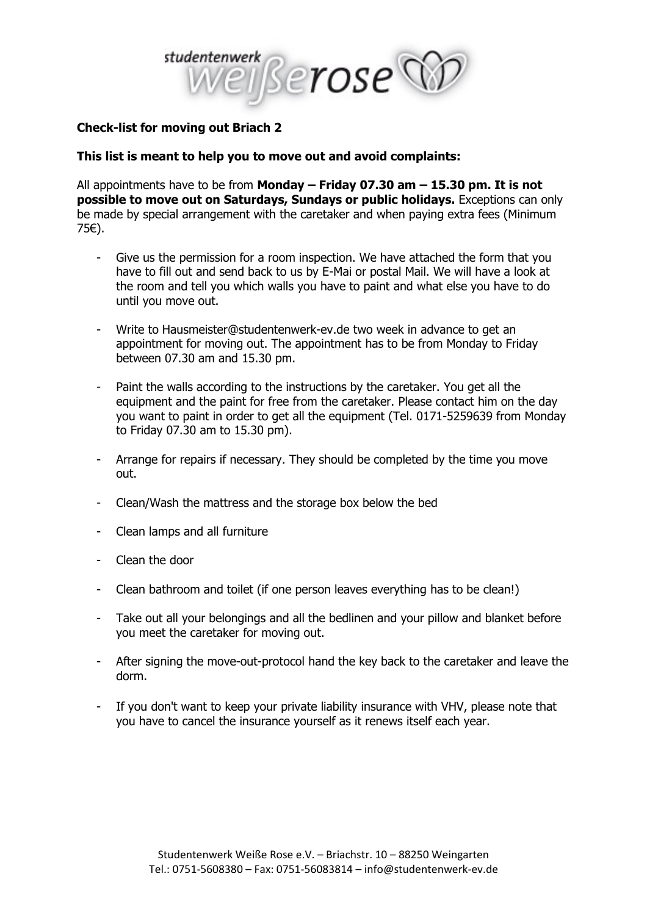

## **Check-list for moving out Briach 2**

## **This list is meant to help you to move out and avoid complaints:**

All appointments have to be from **Monday – Friday 07.30 am – 15.30 pm. It is not possible to move out on Saturdays, Sundays or public holidays.** Exceptions can only be made by special arrangement with the caretaker and when paying extra fees (Minimum 75€).

- Give us the permission for a room inspection. We have attached the form that you have to fill out and send back to us by E-Mai or postal Mail. We will have a look at the room and tell you which walls you have to paint and what else you have to do until you move out.
- Write to Hausmeister@studentenwerk-ev.de two week in advance to get an appointment for moving out. The appointment has to be from Monday to Friday between 07.30 am and 15.30 pm.
- Paint the walls according to the instructions by the caretaker. You get all the equipment and the paint for free from the caretaker. Please contact him on the day you want to paint in order to get all the equipment (Tel. 0171-5259639 from Monday to Friday 07.30 am to 15.30 pm).
- Arrange for repairs if necessary. They should be completed by the time you move out.
- Clean/Wash the mattress and the storage box below the bed
- Clean lamps and all furniture
- Clean the door
- Clean bathroom and toilet (if one person leaves everything has to be clean!)
- Take out all your belongings and all the bedlinen and your pillow and blanket before you meet the caretaker for moving out.
- After signing the move-out-protocol hand the key back to the caretaker and leave the dorm.
- If you don't want to keep your private liability insurance with VHV, please note that you have to cancel the insurance yourself as it renews itself each year.